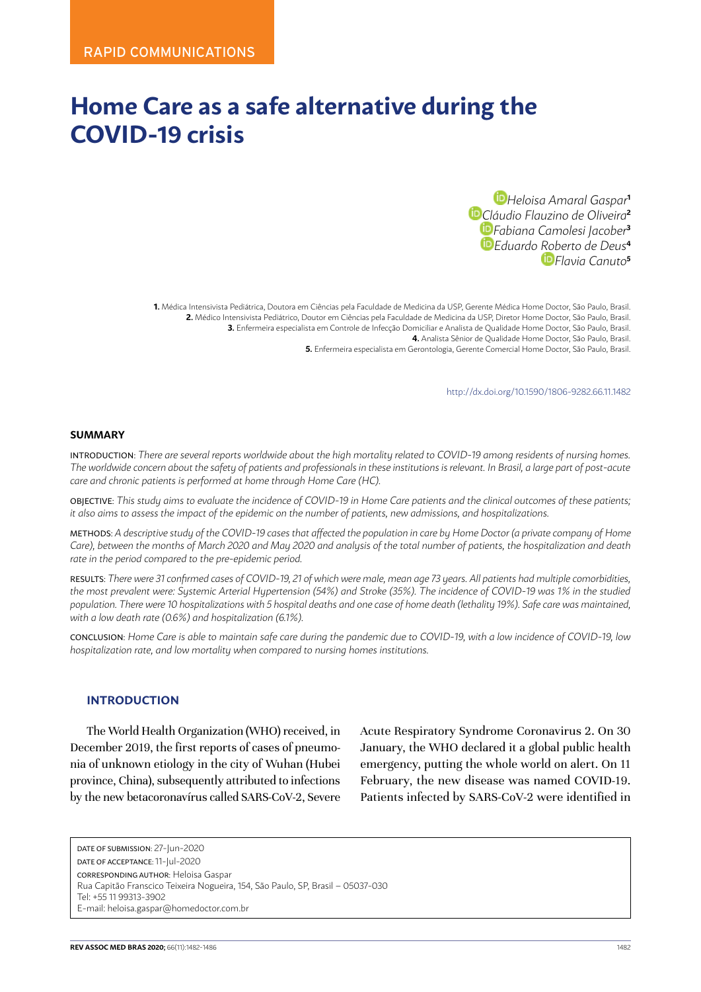# **Home Care as a safe alternative during the COVID-19 crisis**

*Heloisa Amaral Gaspar***<sup>1</sup>** *Cláudio Flauzino de Oliveira***<sup>2</sup>** *Fabiana Camolesi Jacober***<sup>3</sup>** *Eduardo Roberto de Deus***<sup>4</sup>** *Flavia Canuto***<sup>5</sup>**

**1.** Médica Intensivista Pediátrica, Doutora em Ciências pela Faculdade de Medicina da USP, Gerente Médica Home Doctor, São Paulo, Brasil. **2.** Médico Intensivista Pediátrico, Doutor em Ciências pela Faculdade de Medicina da USP, Diretor Home Doctor, São Paulo, Brasil. **3.** Enfermeira especialista em Controle de Infecção Domiciliar e Analista de Qualidade Home Doctor, São Paulo, Brasil. **4.** Analista Sênior de Qualidade Home Doctor, São Paulo, Brasil. **5.** Enfermeira especialista em Gerontologia, Gerente Comercial Home Doctor, São Paulo, Brasil.

http://dx.doi.org/10.1590/1806-9282.66.11.1482

#### **SUMMARY**

INTRODUCTION: *There are several reports worldwide about the high mortality related to COVID-19 among residents of nursing homes. The worldwide concern about the safety of patients and professionals in these institutions is relevant. In Brasil, a large part of post-acute care and chronic patients is performed at home through Home Care (HC).*

OBJECTIVE: *This study aims to evaluate the incidence of COVID-19 in Home Care patients and the clinical outcomes of these patients; it also aims to assess the impact of the epidemic on the number of patients, new admissions, and hospitalizations.*

METHODS: *A descriptive study of the COVID-19 cases that affected the population in care by Home Doctor (a private company of Home Care), between the months of March 2020 and May 2020 and analysis of the total number of patients, the hospitalization and death rate in the period compared to the pre-epidemic period.*

RESULTS: *There were 31 confirmed cases of COVID-19, 21 of which were male, mean age 73 years. All patients had multiple comorbidities, the most prevalent were: Systemic Arterial Hypertension (54%) and Stroke (35%). The incidence of COVID-19 was 1% in the studied population. There were 10 hospitalizations with 5 hospital deaths and one case of home death (lethality 19%). Safe care was maintained, with a low death rate (0.6%) and hospitalization (6.1%).*

CONCLUSION: *Home Care is able to maintain safe care during the pandemic due to COVID-19, with a low incidence of COVID-19, low hospitalization rate, and low mortality when compared to nursing homes institutions.*

#### **INTRODUCTION**

The World Health Organization (WHO) received, in December 2019, the first reports of cases of pneumonia of unknown etiology in the city of Wuhan (Hubei province, China), subsequently attributed to infections by the new betacoronavírus called SARS-CoV-2, Severe

Acute Respiratory Syndrome Coronavirus 2. On 30 January, the WHO declared it a global public health emergency, putting the whole world on alert. On 11 February, the new disease was named COVID-19. Patients infected by SARS-CoV-2 were identified in

DATE OF SUBMISSION: 27-Jun-2020 DATE OF ACCEPTANCE: 11-Jul-2020 CORRESPONDING AUTHOR: Heloisa Gaspar Rua Capitão Franscico Teixeira Nogueira, 154, São Paulo, SP, Brasil – 05037-030 Tel: +55 11 99313-3902 E-mail: heloisa.gaspar@homedoctor.com.br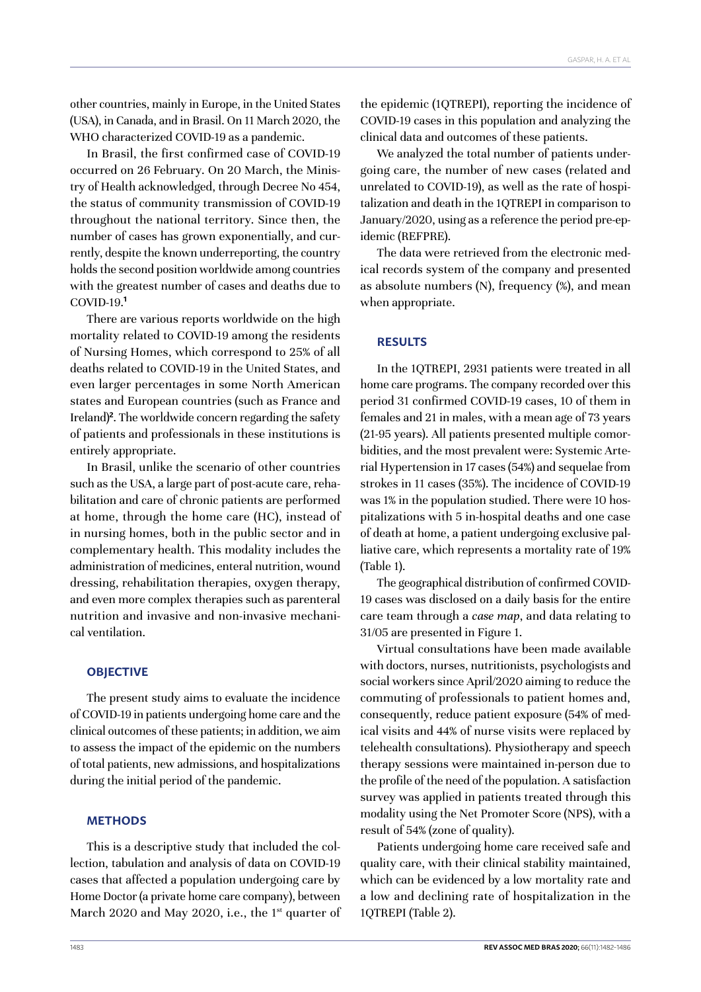other countries, mainly in Europe, in the United States (USA), in Canada, and in Brasil. On 11 March 2020, the WHO characterized COVID-19 as a pandemic.

In Brasil, the first confirmed case of COVID-19 occurred on 26 February. On 20 March, the Ministry of Health acknowledged, through Decree No 454, the status of community transmission of COVID-19 throughout the national territory. Since then, the number of cases has grown exponentially, and currently, despite the known underreporting, the country holds the second position worldwide among countries with the greatest number of cases and deaths due to COVID-19.**<sup>1</sup>**

There are various reports worldwide on the high mortality related to COVID-19 among the residents of Nursing Homes, which correspond to 25% of all deaths related to COVID-19 in the United States, and even larger percentages in some North American states and European countries (such as France and Ireland)**<sup>2</sup>** . The worldwide concern regarding the safety of patients and professionals in these institutions is entirely appropriate.

In Brasil, unlike the scenario of other countries such as the USA, a large part of post-acute care, rehabilitation and care of chronic patients are performed at home, through the home care (HC), instead of in nursing homes, both in the public sector and in complementary health. This modality includes the administration of medicines, enteral nutrition, wound dressing, rehabilitation therapies, oxygen therapy, and even more complex therapies such as parenteral nutrition and invasive and non-invasive mechanical ventilation.

#### **OBJECTIVE**

The present study aims to evaluate the incidence of COVID-19 in patients undergoing home care and the clinical outcomes of these patients; in addition, we aim to assess the impact of the epidemic on the numbers of total patients, new admissions, and hospitalizations during the initial period of the pandemic.

#### **METHODS**

This is a descriptive study that included the collection, tabulation and analysis of data on COVID-19 cases that affected a population undergoing care by Home Doctor (a private home care company), between March 2020 and May 2020, i.e., the 1<sup>st</sup> quarter of the epidemic (1QTREPI), reporting the incidence of COVID-19 cases in this population and analyzing the clinical data and outcomes of these patients.

We analyzed the total number of patients undergoing care, the number of new cases (related and unrelated to COVID-19), as well as the rate of hospitalization and death in the 1QTREPI in comparison to January/2020, using as a reference the period pre-epidemic (REFPRE).

The data were retrieved from the electronic medical records system of the company and presented as absolute numbers (N), frequency (%), and mean when appropriate.

## **RESULTS**

In the 1QTREPI, 2931 patients were treated in all home care programs. The company recorded over this period 31 confirmed COVID-19 cases, 10 of them in females and 21 in males, with a mean age of 73 years (21-95 years). All patients presented multiple comorbidities, and the most prevalent were: Systemic Arterial Hypertension in 17 cases (54%) and sequelae from strokes in 11 cases (35%). The incidence of COVID-19 was 1% in the population studied. There were 10 hospitalizations with 5 in-hospital deaths and one case of death at home, a patient undergoing exclusive palliative care, which represents a mortality rate of 19% (Table 1).

The geographical distribution of confirmed COVID-19 cases was disclosed on a daily basis for the entire care team through a *case map*, and data relating to 31/05 are presented in Figure 1.

Virtual consultations have been made available with doctors, nurses, nutritionists, psychologists and social workers since April/2020 aiming to reduce the commuting of professionals to patient homes and, consequently, reduce patient exposure (54% of medical visits and 44% of nurse visits were replaced by telehealth consultations). Physiotherapy and speech therapy sessions were maintained in-person due to the profile of the need of the population. A satisfaction survey was applied in patients treated through this modality using the Net Promoter Score (NPS), with a result of 54% (zone of quality).

Patients undergoing home care received safe and quality care, with their clinical stability maintained, which can be evidenced by a low mortality rate and a low and declining rate of hospitalization in the 1QTREPI (Table 2).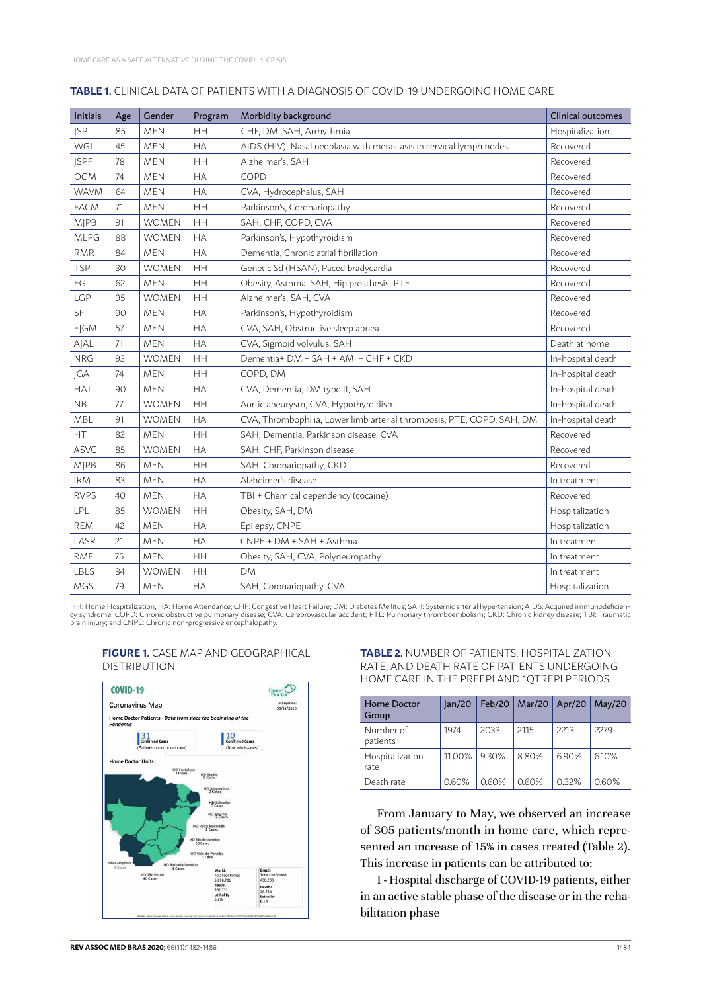| <b>Initials</b> | Age | Gender       | Program   | Morbidity background                                                   | Clinical outcomes |
|-----------------|-----|--------------|-----------|------------------------------------------------------------------------|-------------------|
| <b>JSP</b>      | 85  | <b>MEN</b>   | <b>HH</b> | CHF, DM, SAH, Arrhythmia                                               | Hospitalization   |
| WGL             | 45  | <b>MEN</b>   | <b>HA</b> | AIDS (HIV), Nasal neoplasia with metastasis in cervical lymph nodes    | Recovered         |
| <b>ISPF</b>     | 78  | <b>MEN</b>   | HH        | Alzheimer's, SAH                                                       | Recovered         |
| <b>OGM</b>      | 74  | <b>MEN</b>   | <b>HA</b> | COPD                                                                   | Recovered         |
| <b>WAVM</b>     | 64  | <b>MEN</b>   | <b>HA</b> | CVA, Hydrocephalus, SAH                                                | Recovered         |
| <b>FACM</b>     | 71  | <b>MEN</b>   | HH        | Parkinson's, Coronariopathy                                            | Recovered         |
| <b>MJPB</b>     | 91  | <b>WOMEN</b> | <b>HH</b> | SAH, CHF, COPD, CVA                                                    | Recovered         |
| <b>MLPG</b>     | 88  | <b>WOMEN</b> | <b>HA</b> | Parkinson's, Hypothyroidism                                            | Recovered         |
| <b>RMR</b>      | 84  | <b>MEN</b>   | <b>HA</b> | Dementia, Chronic atrial fibrillation                                  | Recovered         |
| <b>TSP</b>      | 30  | <b>WOMEN</b> | HH        | Genetic Sd (HSAN), Paced bradycardia                                   | Recovered         |
| EG              | 62  | <b>MEN</b>   | HH        | Obesity, Asthma, SAH, Hip prosthesis, PTE                              | Recovered         |
| LGP             | 95  | <b>WOMEN</b> | HH        | Alzheimer's, SAH, CVA                                                  | Recovered         |
| SF              | 90  | <b>MEN</b>   | <b>HA</b> | Parkinson's, Hypothyroidism                                            | Recovered         |
| FJGM            | 57  | <b>MEN</b>   | HA        | CVA, SAH, Obstructive sleep apnea                                      | Recovered         |
| AJAL            | 71  | <b>MEN</b>   | HA        | CVA, Sigmoid volvulus, SAH                                             | Death at home     |
| <b>NRG</b>      | 93  | <b>WOMEN</b> | <b>HH</b> | Dementia+ DM + SAH + AMI + CHF + CKD                                   | In-hospital death |
| <b>IGA</b>      | 74  | <b>MEN</b>   | HH        | COPD, DM                                                               | In-hospital death |
| <b>HAT</b>      | 90  | <b>MEN</b>   | <b>HA</b> | CVA, Dementia, DM type II, SAH                                         | In-hospital death |
| <b>NB</b>       | 77  | <b>WOMEN</b> | HH        | Aortic aneurysm, CVA, Hypothyroidism.                                  | In-hospital death |
| <b>MBL</b>      | 91  | <b>WOMEN</b> | <b>HA</b> | CVA, Thrombophilia, Lower limb arterial thrombosis, PTE, COPD, SAH, DM | In-hospital death |
| HT              | 82  | <b>MEN</b>   | <b>HH</b> | SAH, Dementia, Parkinson disease, CVA                                  | Recovered         |
| <b>ASVC</b>     | 85  | <b>WOMEN</b> | <b>HA</b> | SAH, CHF, Parkinson disease                                            | Recovered         |
| <b>MJPB</b>     | 86  | <b>MEN</b>   | HH        | SAH, Coronariopathy, CKD                                               | Recovered         |
| <b>IRM</b>      | 83  | <b>MEN</b>   | <b>HA</b> | Alzheimer's disease                                                    | In treatment      |
| <b>RVPS</b>     | 40  | <b>MEN</b>   | <b>HA</b> | TBI + Chemical dependency (cocaine)                                    | Recovered         |
| LPL             | 85  | <b>WOMEN</b> | HH        | Obesity, SAH, DM                                                       | Hospitalization   |
| <b>REM</b>      | 42  | <b>MEN</b>   | <b>HA</b> | Epilepsy, CNPE                                                         | Hospitalization   |
| LASR            | 21  | <b>MEN</b>   | HA        | CNPE + DM + SAH + Asthma                                               | In treatment      |
| <b>RMF</b>      | 75  | MEN          | HH        | Obesity, SAH, CVA, Polyneuropathy                                      | In treatment      |
| LBLS            | 84  | WOMEN        | HH        | DМ                                                                     | In treatment      |
| <b>MGS</b>      | 79  | <b>MEN</b>   | <b>HA</b> | SAH, Coronariopathy, CVA                                               | Hospitalization   |

#### **TABLE 1.** CLINICAL DATA OF PATIENTS WITH A DIAGNOSIS OF COVID-19 UNDERGOING HOME CARE

HH: Home Hospitalization, HA: Home Attendance; CHF: Congestive Heart Failure; DM: Diabetes Mellitus; SAH: Systemic arterial hypertension; AIDS: Acquired immunodeficien-<br>cy syndrome; COPD: Chronic obstructive pulmonary dise



#### **FIGURE 1.** CASE MAP AND GEOGRAPHICAL DISTRIBUTION

#### **TABLE 2.** NUMBER OF PATIENTS, HOSPITALIZATION RATE, AND DEATH RATE OF PATIENTS UNDERGOING HOME CARE IN THE PREEPI AND 1QTREPI PERIODS

| Home Doctor<br>Group    | lan/20 | Feb/20 | Mar/20   Apr/20 |       | Mav/20 |
|-------------------------|--------|--------|-----------------|-------|--------|
| Number of<br>patients   | 1974   | 2033   | 2115            | 2213  | 2279   |
| Hospitalization<br>rate | 11.00% | 9.30%  | 8.80%           | 6.90% | 6.10%  |
| Death rate              | 0.60%  | 0.60%  | 0.60%           | 0.32% | 0.60%  |

From January to May, we observed an increase of 305 patients/month in home care, which represented an increase of 15% in cases treated (Table 2). This increase in patients can be attributed to:

I - Hospital discharge of COVID-19 patients, either in an active stable phase of the disease or in the rehabilitation phase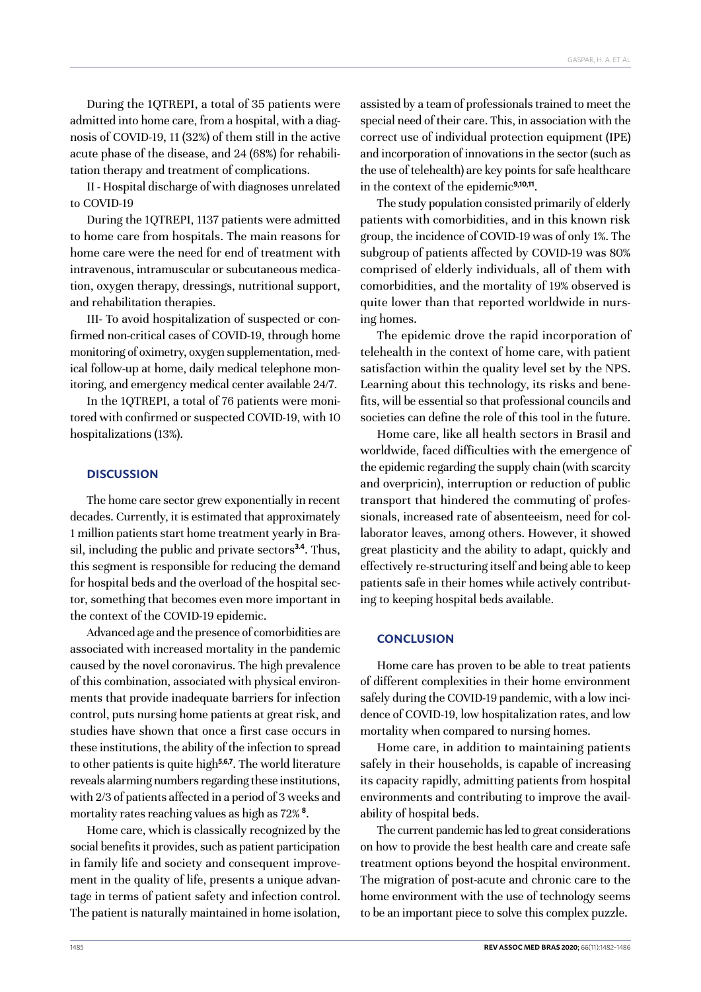During the 1QTREPI, a total of 35 patients were admitted into home care, from a hospital, with a diagnosis of COVID-19, 11 (32%) of them still in the active acute phase of the disease, and 24 (68%) for rehabilitation therapy and treatment of complications.

II - Hospital discharge of with diagnoses unrelated to COVID-19

During the 1QTREPI, 1137 patients were admitted to home care from hospitals. The main reasons for home care were the need for end of treatment with intravenous, intramuscular or subcutaneous medication, oxygen therapy, dressings, nutritional support, and rehabilitation therapies.

III- To avoid hospitalization of suspected or confirmed non-critical cases of COVID-19, through home monitoring of oximetry, oxygen supplementation, medical follow-up at home, daily medical telephone monitoring, and emergency medical center available 24/7.

In the 1QTREPI, a total of 76 patients were monitored with confirmed or suspected COVID-19, with 10 hospitalizations (13%).

## **DISCUSSION**

The home care sector grew exponentially in recent decades. Currently, it is estimated that approximately 1 million patients start home treatment yearly in Brasil, including the public and private sectors**3.4**. Thus, this segment is responsible for reducing the demand for hospital beds and the overload of the hospital sector, something that becomes even more important in the context of the COVID-19 epidemic.

Advanced age and the presence of comorbidities are associated with increased mortality in the pandemic caused by the novel coronavirus. The high prevalence of this combination, associated with physical environments that provide inadequate barriers for infection control, puts nursing home patients at great risk, and studies have shown that once a first case occurs in these institutions, the ability of the infection to spread to other patients is quite high**5,6,7**. The world literature reveals alarming numbers regarding these institutions, with 2/3 of patients affected in a period of 3 weeks and mortality rates reaching values as high as 72% **<sup>8</sup>** .

Home care, which is classically recognized by the social benefits it provides, such as patient participation in family life and society and consequent improvement in the quality of life, presents a unique advantage in terms of patient safety and infection control. The patient is naturally maintained in home isolation,

assisted by a team of professionals trained to meet the special need of their care. This, in association with the correct use of individual protection equipment (IPE) and incorporation of innovations in the sector (such as the use of telehealth) are key points for safe healthcare in the context of the epidemic**9,10,11**.

The study population consisted primarily of elderly patients with comorbidities, and in this known risk group, the incidence of COVID-19 was of only 1%. The subgroup of patients affected by COVID-19 was 80% comprised of elderly individuals, all of them with comorbidities, and the mortality of 19% observed is quite lower than that reported worldwide in nursing homes.

The epidemic drove the rapid incorporation of telehealth in the context of home care, with patient satisfaction within the quality level set by the NPS. Learning about this technology, its risks and benefits, will be essential so that professional councils and societies can define the role of this tool in the future.

Home care, like all health sectors in Brasil and worldwide, faced difficulties with the emergence of the epidemic regarding the supply chain (with scarcity and overpricin), interruption or reduction of public transport that hindered the commuting of professionals, increased rate of absenteeism, need for collaborator leaves, among others. However, it showed great plasticity and the ability to adapt, quickly and effectively re-structuring itself and being able to keep patients safe in their homes while actively contributing to keeping hospital beds available.

### **CONCLUSION**

Home care has proven to be able to treat patients of different complexities in their home environment safely during the COVID-19 pandemic, with a low incidence of COVID-19, low hospitalization rates, and low mortality when compared to nursing homes.

Home care, in addition to maintaining patients safely in their households, is capable of increasing its capacity rapidly, admitting patients from hospital environments and contributing to improve the availability of hospital beds.

The current pandemic has led to great considerations on how to provide the best health care and create safe treatment options beyond the hospital environment. The migration of post-acute and chronic care to the home environment with the use of technology seems to be an important piece to solve this complex puzzle.